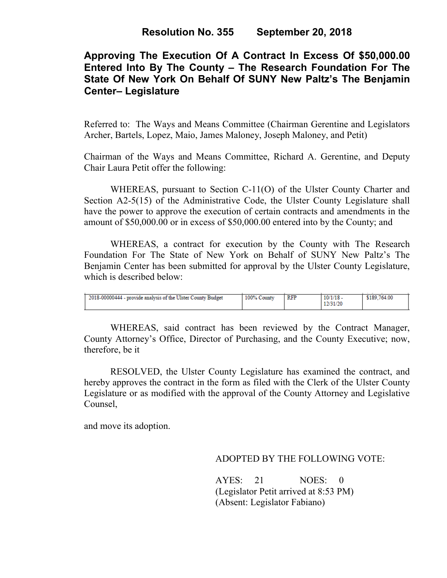# **Approving The Execution Of A Contract In Excess Of \$50,000.00 Entered Into By The County – The Research Foundation For The State Of New York On Behalf Of SUNY New Paltz's The Benjamin Center– Legislature**

Referred to: The Ways and Means Committee (Chairman Gerentine and Legislators Archer, Bartels, Lopez, Maio, James Maloney, Joseph Maloney, and Petit)

Chairman of the Ways and Means Committee, Richard A. Gerentine, and Deputy Chair Laura Petit offer the following:

WHEREAS, pursuant to Section C-11(O) of the Ulster County Charter and Section A2-5(15) of the Administrative Code, the Ulster County Legislature shall have the power to approve the execution of certain contracts and amendments in the amount of \$50,000.00 or in excess of \$50,000.00 entered into by the County; and

WHEREAS, a contract for execution by the County with The Research Foundation For The State of New York on Behalf of SUNY New Paltz's The Benjamin Center has been submitted for approval by the Ulster County Legislature, which is described below:

| 2018-00000444 - provide analysis of the Ulster County Budget | 100% County | RFP | $10/1/18$ .<br>12/31/20 | \$189,764.00 |
|--------------------------------------------------------------|-------------|-----|-------------------------|--------------|

WHEREAS, said contract has been reviewed by the Contract Manager, County Attorney's Office, Director of Purchasing, and the County Executive; now, therefore, be it

RESOLVED, the Ulster County Legislature has examined the contract, and hereby approves the contract in the form as filed with the Clerk of the Ulster County Legislature or as modified with the approval of the County Attorney and Legislative Counsel,

and move its adoption.

### ADOPTED BY THE FOLLOWING VOTE:

AYES: 21 NOES: 0 (Legislator Petit arrived at 8:53 PM) (Absent: Legislator Fabiano)